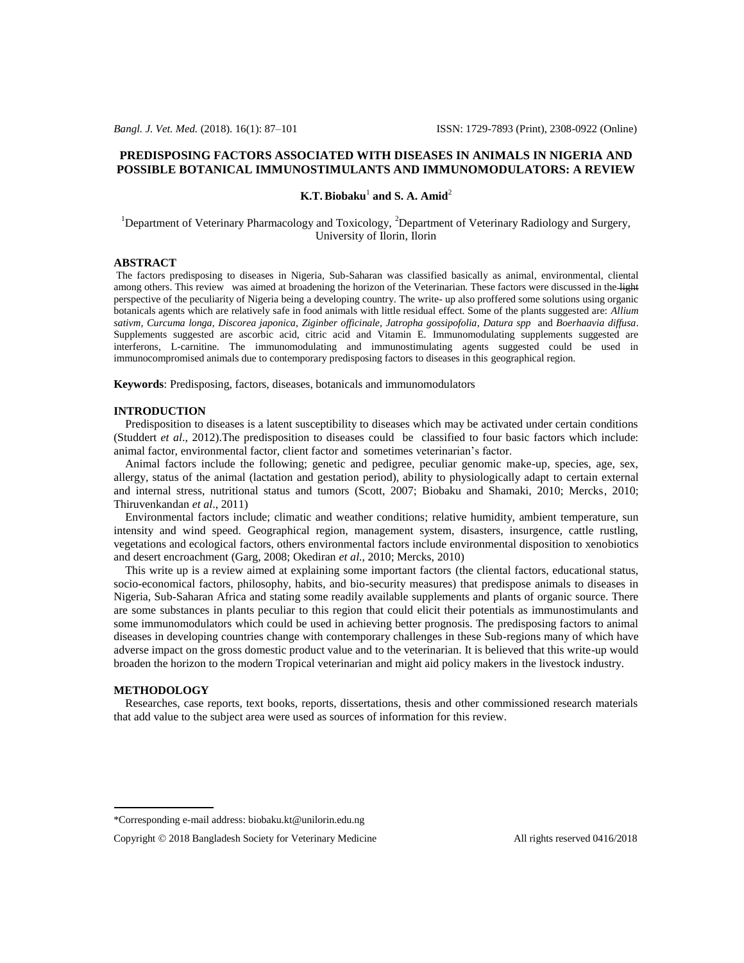# **PREDISPOSING FACTORS ASSOCIATED WITH DISEASES IN ANIMALS IN NIGERIA AND POSSIBLE BOTANICAL IMMUNOSTIMULANTS AND IMMUNOMODULATORS: A REVIEW**

# $\mathbf{K}.\mathbf{T}.\mathbf{Biobaku}^1 \text{ and } \mathbf{S}.\mathbf{A}.\mathbf{Amid}^2$

<sup>1</sup>Department of Veterinary Pharmacology and Toxicology, <sup>2</sup>Department of Veterinary Radiology and Surgery, University of Ilorin, Ilorin

## **ABSTRACT**

The factors predisposing to diseases in Nigeria, Sub-Saharan was classified basically as animal, environmental, cliental among others. This review was aimed at broadening the horizon of the Veterinarian. These factors were discussed in the light perspective of the peculiarity of Nigeria being a developing country. The write- up also proffered some solutions using organic botanicals agents which are relatively safe in food animals with little residual effect. Some of the plants suggested are: *Allium sativm, Curcuma longa, Discorea japonica, Ziginber officinale, Jatropha gossipofolia, Datura spp* and *Boerhaavia diffusa*. Supplements suggested are ascorbic acid, citric acid and Vitamin E. Immunomodulating supplements suggested are interferons, L-carnitine. The immunomodulating and immunostimulating agents suggested could be used in immunocompromised animals due to contemporary predisposing factors to diseases in this geographical region.

**Keywords**: Predisposing, factors, diseases, botanicals and immunomodulators

## **INTRODUCTION**

 Predisposition to diseases is a latent susceptibility to diseases which may be activated under certain conditions (Studdert *et al*., 2012).The predisposition to diseases could be classified to four basic factors which include: animal factor, environmental factor, client factor and sometimes veterinarian"s factor.

 Animal factors include the following; genetic and pedigree, peculiar genomic make-up, species, age, sex, allergy, status of the animal (lactation and gestation period), ability to physiologically adapt to certain external and internal stress, nutritional status and tumors (Scott, 2007; Biobaku and Shamaki, 2010; Mercks, 2010; Thiruvenkandan *et al*., 2011)

 Environmental factors include; climatic and weather conditions; relative humidity, ambient temperature, sun intensity and wind speed. Geographical region, management system, disasters, insurgence, cattle rustling, vegetations and ecological factors, others environmental factors include environmental disposition to xenobiotics and desert encroachment (Garg, 2008; Okediran *et al.*, 2010; Mercks, 2010)

 This write up is a review aimed at explaining some important factors (the cliental factors, educational status, socio-economical factors, philosophy, habits, and bio-security measures) that predispose animals to diseases in Nigeria, Sub-Saharan Africa and stating some readily available supplements and plants of organic source. There are some substances in plants peculiar to this region that could elicit their potentials as immunostimulants and some immunomodulators which could be used in achieving better prognosis. The predisposing factors to animal diseases in developing countries change with contemporary challenges in these Sub-regions many of which have adverse impact on the gross domestic product value and to the veterinarian. It is believed that this write-up would broaden the horizon to the modern Tropical veterinarian and might aid policy makers in the livestock industry.

### **METHODOLOGY**

 Researches, case reports, text books, reports, dissertations, thesis and other commissioned research materials that add value to the subject area were used as sources of information for this review.

<sup>\*</sup>Corresponding e-mail address: biobaku.kt@unilorin.edu.ng

Copyright © 2018 Bangladesh Society for Veterinary Medicine All rights reserved 0416/2018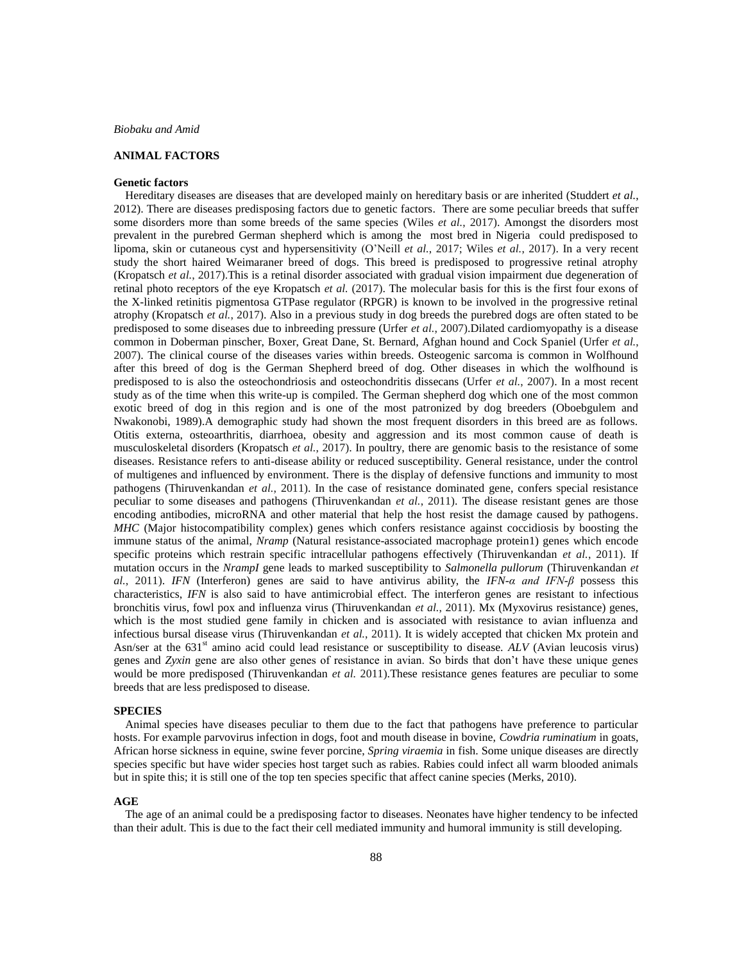## **ANIMAL FACTORS**

#### **Genetic factors**

 Hereditary diseases are diseases that are developed mainly on hereditary basis or are inherited (Studdert *et al.*, 2012). There are diseases predisposing factors due to genetic factors. There are some peculiar breeds that suffer some disorders more than some breeds of the same species (Wiles *et al.*, 2017). Amongst the disorders most prevalent in the purebred German shepherd which is among the most bred in Nigeria could predisposed to lipoma, skin or cutaneous cyst and hypersensitivity (O"Neill *et al.*, 2017; Wiles *et al.*, 2017). In a very recent study the short haired Weimaraner breed of dogs. This breed is predisposed to progressive retinal atrophy (Kropatsch *et al.*, 2017).This is a retinal disorder associated with gradual vision impairment due degeneration of retinal photo receptors of the eye Kropatsch *et al.* (2017). The molecular basis for this is the first four exons of the X-linked retinitis pigmentosa GTPase regulator (RPGR) is known to be involved in the progressive retinal atrophy (Kropatsch *et al.*, 2017). Also in a previous study in dog breeds the purebred dogs are often stated to be predisposed to some diseases due to inbreeding pressure (Urfer *et al.*, 2007).Dilated cardiomyopathy is a disease common in Doberman pinscher, Boxer, Great Dane, St. Bernard, Afghan hound and Cock Spaniel (Urfer *et al.*, 2007). The clinical course of the diseases varies within breeds. Osteogenic sarcoma is common in Wolfhound after this breed of dog is the German Shepherd breed of dog. Other diseases in which the wolfhound is predisposed to is also the osteochondriosis and osteochondritis dissecans (Urfer *et al.*, 2007). In a most recent study as of the time when this write-up is compiled. The German shepherd dog which one of the most common exotic breed of dog in this region and is one of the most patronized by dog breeders (Oboebgulem and Nwakonobi, 1989).A demographic study had shown the most frequent disorders in this breed are as follows. Otitis externa, osteoarthritis, diarrhoea, obesity and aggression and its most common cause of death is musculoskeletal disorders (Kropatsch *et al.*, 2017). In poultry, there are genomic basis to the resistance of some diseases. Resistance refers to anti-disease ability or reduced susceptibility. General resistance, under the control of multigenes and influenced by environment. There is the display of defensive functions and immunity to most pathogens (Thiruvenkandan *et al.*, 2011). In the case of resistance dominated gene, confers special resistance peculiar to some diseases and pathogens (Thiruvenkandan *et al.*, 2011). The disease resistant genes are those encoding antibodies, microRNA and other material that help the host resist the damage caused by pathogens*. MHC* (Major histocompatibility complex) genes which confers resistance against coccidiosis by boosting the immune status of the animal, *Nramp* (Natural resistance-associated macrophage protein1) genes which encode specific proteins which restrain specific intracellular pathogens effectively (Thiruvenkandan *et al.*, 2011). If mutation occurs in the *NrampI* gene leads to marked susceptibility to *Salmonella pullorum* (Thiruvenkandan *et al.*, 2011). *IFN* (Interferon) genes are said to have antivirus ability, the *IFN-α and IFN-β* possess this characteristics, *IFN* is also said to have antimicrobial effect. The interferon genes are resistant to infectious bronchitis virus, fowl pox and influenza virus (Thiruvenkandan *et al.*, 2011). Mx (Myxovirus resistance) genes, which is the most studied gene family in chicken and is associated with resistance to avian influenza and infectious bursal disease virus (Thiruvenkandan *et al.*, 2011). It is widely accepted that chicken Mx protein and Asn/ser at the 631<sup>st</sup> amino acid could lead resistance or susceptibility to disease. ALV (Avian leucosis virus) genes and *Zyxin* gene are also other genes of resistance in avian. So birds that don"t have these unique genes would be more predisposed (Thiruvenkandan *et al.* 2011).These resistance genes features are peculiar to some breeds that are less predisposed to disease.

#### **SPECIES**

 Animal species have diseases peculiar to them due to the fact that pathogens have preference to particular hosts. For example parvovirus infection in dogs, foot and mouth disease in bovine, *Cowdria ruminatium* in goats, African horse sickness in equine, swine fever porcine, *Spring viraemia* in fish. Some unique diseases are directly species specific but have wider species host target such as rabies. Rabies could infect all warm blooded animals but in spite this; it is still one of the top ten species specific that affect canine species (Merks, 2010).

#### **AGE**

 The age of an animal could be a predisposing factor to diseases. Neonates have higher tendency to be infected than their adult. This is due to the fact their cell mediated immunity and humoral immunity is still developing.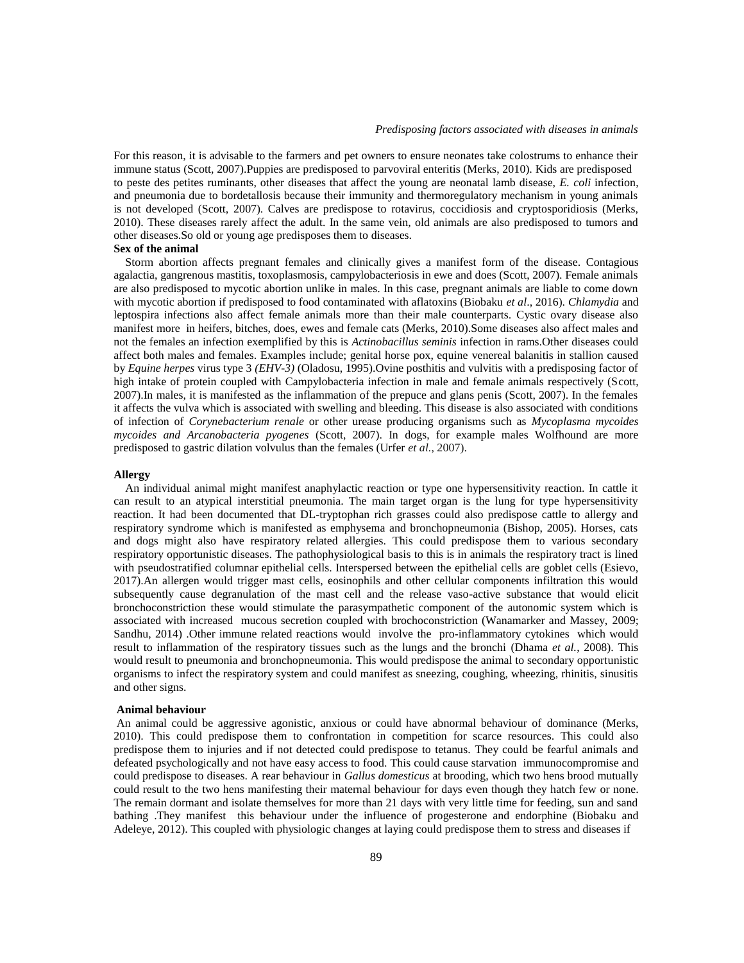## *Predisposing factors associated with diseases in animals*

For this reason, it is advisable to the farmers and pet owners to ensure neonates take colostrums to enhance their immune status (Scott, 2007).Puppies are predisposed to parvoviral enteritis (Merks, 2010). Kids are predisposed to peste des petites ruminants, other diseases that affect the young are neonatal lamb disease, *E. coli* infection, and pneumonia due to bordetallosis because their immunity and thermoregulatory mechanism in young animals is not developed (Scott, 2007). Calves are predispose to rotavirus, coccidiosis and cryptosporidiosis (Merks, 2010). These diseases rarely affect the adult. In the same vein, old animals are also predisposed to tumors and other diseases.So old or young age predisposes them to diseases.

## **Sex of the animal**

 Storm abortion affects pregnant females and clinically gives a manifest form of the disease. Contagious agalactia, gangrenous mastitis, toxoplasmosis, campylobacteriosis in ewe and does (Scott, 2007). Female animals are also predisposed to mycotic abortion unlike in males. In this case, pregnant animals are liable to come down with mycotic abortion if predisposed to food contaminated with aflatoxins (Biobaku *et al*., 2016). *Chlamydia* and leptospira infections also affect female animals more than their male counterparts. Cystic ovary disease also manifest more in heifers, bitches, does, ewes and female cats (Merks, 2010).Some diseases also affect males and not the females an infection exemplified by this is *Actinobacillus seminis* infection in rams.Other diseases could affect both males and females. Examples include; genital horse pox, equine venereal balanitis in stallion caused by *Equine herpes* virus type 3 *(EHV-3)* (Oladosu, 1995).Ovine posthitis and vulvitis with a predisposing factor of high intake of protein coupled with Campylobacteria infection in male and female animals respectively (Scott, 2007).In males, it is manifested as the inflammation of the prepuce and glans penis (Scott, 2007). In the females it affects the vulva which is associated with swelling and bleeding. This disease is also associated with conditions of infection of *Corynebacterium renale* or other urease producing organisms such as *Mycoplasma mycoides mycoides and Arcanobacteria pyogenes* (Scott, 2007). In dogs, for example males Wolfhound are more predisposed to gastric dilation volvulus than the females (Urfer *et al.*, 2007).

## **Allergy**

 An individual animal might manifest anaphylactic reaction or type one hypersensitivity reaction. In cattle it can result to an atypical interstitial pneumonia. The main target organ is the lung for type hypersensitivity reaction. It had been documented that DL-tryptophan rich grasses could also predispose cattle to allergy and respiratory syndrome which is manifested as emphysema and bronchopneumonia (Bishop, 2005). Horses, cats and dogs might also have respiratory related allergies. This could predispose them to various secondary respiratory opportunistic diseases. The pathophysiological basis to this is in animals the respiratory tract is lined with pseudostratified columnar epithelial cells. Interspersed between the epithelial cells are goblet cells (Esievo, 2017).An allergen would trigger mast cells, eosinophils and other cellular components infiltration this would subsequently cause degranulation of the mast cell and the release vaso-active substance that would elicit bronchoconstriction these would stimulate the parasympathetic component of the autonomic system which is associated with increased mucous secretion coupled with brochoconstriction (Wanamarker and Massey, 2009; Sandhu, 2014) .Other immune related reactions would involve the pro-inflammatory cytokines which would result to inflammation of the respiratory tissues such as the lungs and the bronchi (Dhama *et al.*, 2008). This would result to pneumonia and bronchopneumonia. This would predispose the animal to secondary opportunistic organisms to infect the respiratory system and could manifest as sneezing, coughing, wheezing, rhinitis, sinusitis and other signs.

### **Animal behaviour**

An animal could be aggressive agonistic, anxious or could have abnormal behaviour of dominance (Merks, 2010). This could predispose them to confrontation in competition for scarce resources. This could also predispose them to injuries and if not detected could predispose to tetanus. They could be fearful animals and defeated psychologically and not have easy access to food. This could cause starvation immunocompromise and could predispose to diseases. A rear behaviour in *Gallus domesticus* at brooding, which two hens brood mutually could result to the two hens manifesting their maternal behaviour for days even though they hatch few or none. The remain dormant and isolate themselves for more than 21 days with very little time for feeding, sun and sand bathing .They manifest this behaviour under the influence of progesterone and endorphine (Biobaku and Adeleye, 2012). This coupled with physiologic changes at laying could predispose them to stress and diseases if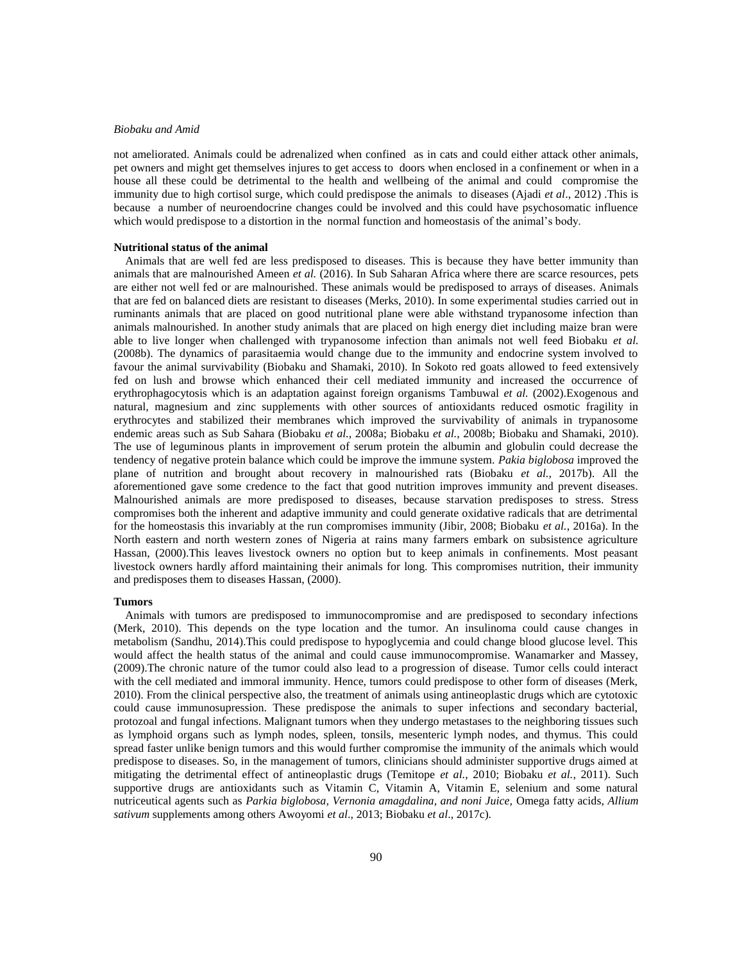not ameliorated. Animals could be adrenalized when confined as in cats and could either attack other animals, pet owners and might get themselves injures to get access to doors when enclosed in a confinement or when in a house all these could be detrimental to the health and wellbeing of the animal and could compromise the immunity due to high cortisol surge, which could predispose the animals to diseases (Ajadi *et al*., 2012) .This is because a number of neuroendocrine changes could be involved and this could have psychosomatic influence which would predispose to a distortion in the normal function and homeostasis of the animal"s body.

### **Nutritional status of the animal**

 Animals that are well fed are less predisposed to diseases. This is because they have better immunity than animals that are malnourished Ameen *et al.* (2016). In Sub Saharan Africa where there are scarce resources, pets are either not well fed or are malnourished. These animals would be predisposed to arrays of diseases. Animals that are fed on balanced diets are resistant to diseases (Merks, 2010). In some experimental studies carried out in ruminants animals that are placed on good nutritional plane were able withstand trypanosome infection than animals malnourished. In another study animals that are placed on high energy diet including maize bran were able to live longer when challenged with trypanosome infection than animals not well feed Biobaku *et al.* (2008b). The dynamics of parasitaemia would change due to the immunity and endocrine system involved to favour the animal survivability (Biobaku and Shamaki, 2010). In Sokoto red goats allowed to feed extensively fed on lush and browse which enhanced their cell mediated immunity and increased the occurrence of erythrophagocytosis which is an adaptation against foreign organisms Tambuwal *et al.* (2002).Exogenous and natural, magnesium and zinc supplements with other sources of antioxidants reduced osmotic fragility in erythrocytes and stabilized their membranes which improved the survivability of animals in trypanosome endemic areas such as Sub Sahara (Biobaku *et al.*, 2008a; Biobaku *et al.*, 2008b; Biobaku and Shamaki, 2010). The use of leguminous plants in improvement of serum protein the albumin and globulin could decrease the tendency of negative protein balance which could be improve the immune system. *Pakia biglobosa* improved the plane of nutrition and brought about recovery in malnourished rats (Biobaku *et al.*, 2017b). All the aforementioned gave some credence to the fact that good nutrition improves immunity and prevent diseases. Malnourished animals are more predisposed to diseases, because starvation predisposes to stress. Stress compromises both the inherent and adaptive immunity and could generate oxidative radicals that are detrimental for the homeostasis this invariably at the run compromises immunity (Jibir, 2008; Biobaku *et al.*, 2016a). In the North eastern and north western zones of Nigeria at rains many farmers embark on subsistence agriculture Hassan, (2000).This leaves livestock owners no option but to keep animals in confinements. Most peasant livestock owners hardly afford maintaining their animals for long. This compromises nutrition, their immunity and predisposes them to diseases Hassan, (2000).

### **Tumors**

 Animals with tumors are predisposed to immunocompromise and are predisposed to secondary infections (Merk, 2010). This depends on the type location and the tumor. An insulinoma could cause changes in metabolism (Sandhu, 2014).This could predispose to hypoglycemia and could change blood glucose level. This would affect the health status of the animal and could cause immunocompromise. Wanamarker and Massey, (2009).The chronic nature of the tumor could also lead to a progression of disease. Tumor cells could interact with the cell mediated and immoral immunity. Hence, tumors could predispose to other form of diseases (Merk, 2010). From the clinical perspective also, the treatment of animals using antineoplastic drugs which are cytotoxic could cause immunosupression. These predispose the animals to super infections and secondary bacterial, protozoal and fungal infections. Malignant tumors when they undergo metastases to the neighboring tissues such as lymphoid organs such as lymph nodes, spleen, tonsils, mesenteric lymph nodes, and thymus. This could spread faster unlike benign tumors and this would further compromise the immunity of the animals which would predispose to diseases. So, in the management of tumors, clinicians should administer supportive drugs aimed at mitigating the detrimental effect of antineoplastic drugs (Temitope *et al.*, 2010; Biobaku *et al.*, 2011). Such supportive drugs are antioxidants such as Vitamin C, Vitamin A, Vitamin E, selenium and some natural nutriceutical agents such as *Parkia biglobosa, Vernonia amagdalina, and noni Juice,* Omega fatty acids, *Allium sativum* supplements among others Awoyomi *et al*., 2013; Biobaku *et al*., 2017c).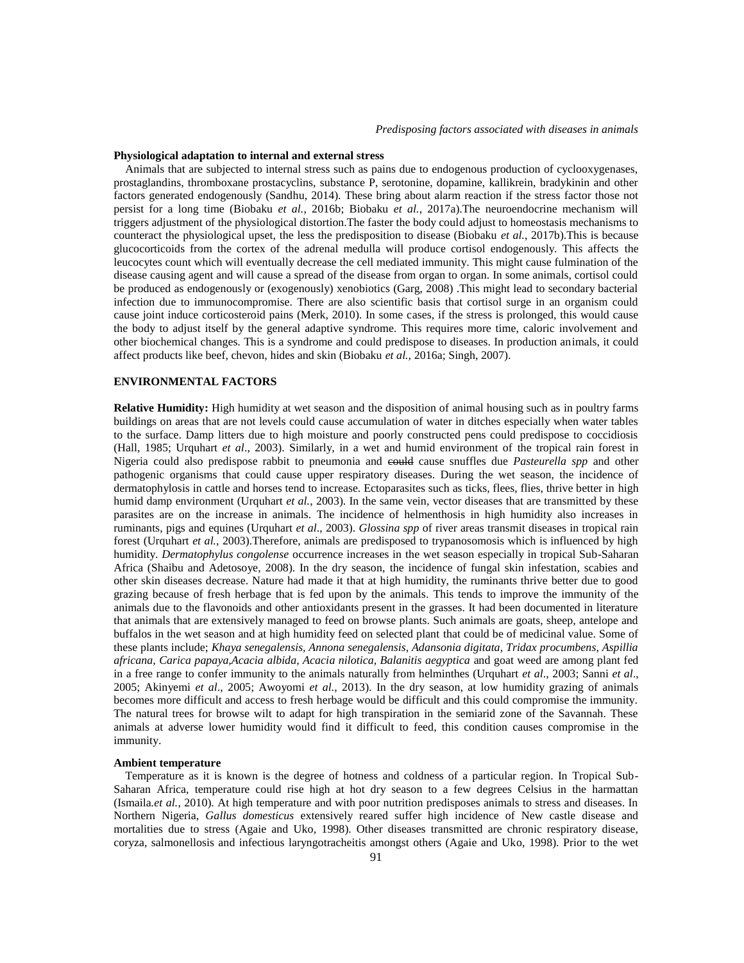#### **Physiological adaptation to internal and external stress**

 Animals that are subjected to internal stress such as pains due to endogenous production of cyclooxygenases, prostaglandins, thromboxane prostacyclins, substance P, serotonine, dopamine, kallikrein, bradykinin and other factors generated endogenously (Sandhu, 2014). These bring about alarm reaction if the stress factor those not persist for a long time (Biobaku *et al.*, 2016b; Biobaku *et al.*, 2017a).The neuroendocrine mechanism will triggers adjustment of the physiological distortion.The faster the body could adjust to homeostasis mechanisms to counteract the physiological upset, the less the predisposition to disease (Biobaku *et al.*, 2017b).This is because glucocorticoids from the cortex of the adrenal medulla will produce cortisol endogenously. This affects the leucocytes count which will eventually decrease the cell mediated immunity. This might cause fulmination of the disease causing agent and will cause a spread of the disease from organ to organ. In some animals, cortisol could be produced as endogenously or (exogenously) xenobiotics (Garg, 2008) .This might lead to secondary bacterial infection due to immunocompromise. There are also scientific basis that cortisol surge in an organism could cause joint induce corticosteroid pains (Merk, 2010). In some cases, if the stress is prolonged, this would cause the body to adjust itself by the general adaptive syndrome. This requires more time, caloric involvement and other biochemical changes. This is a syndrome and could predispose to diseases. In production animals, it could affect products like beef, chevon, hides and skin (Biobaku *et al.*, 2016a; Singh, 2007).

# **ENVIRONMENTAL FACTORS**

**Relative Humidity:** High humidity at wet season and the disposition of animal housing such as in poultry farms buildings on areas that are not levels could cause accumulation of water in ditches especially when water tables to the surface. Damp litters due to high moisture and poorly constructed pens could predispose to coccidiosis (Hall, 1985; Urquhart *et al*., 2003). Similarly, in a wet and humid environment of the tropical rain forest in Nigeria could also predispose rabbit to pneumonia and could cause snuffles due *Pasteurella spp* and other pathogenic organisms that could cause upper respiratory diseases. During the wet season, the incidence of dermatophylosis in cattle and horses tend to increase. Ectoparasites such as ticks, flees, flies, thrive better in high humid damp environment (Urquhart *et al.*, 2003). In the same vein, vector diseases that are transmitted by these parasites are on the increase in animals. The incidence of helmenthosis in high humidity also increases in ruminants, pigs and equines (Urquhart *et al*., 2003). *Glossina spp* of river areas transmit diseases in tropical rain forest (Urquhart *et al.*, 2003).Therefore, animals are predisposed to trypanosomosis which is influenced by high humidity. *Dermatophylus congolense* occurrence increases in the wet season especially in tropical Sub-Saharan Africa (Shaibu and Adetosoye, 2008). In the dry season, the incidence of fungal skin infestation, scabies and other skin diseases decrease. Nature had made it that at high humidity, the ruminants thrive better due to good grazing because of fresh herbage that is fed upon by the animals. This tends to improve the immunity of the animals due to the flavonoids and other antioxidants present in the grasses. It had been documented in literature that animals that are extensively managed to feed on browse plants. Such animals are goats, sheep, antelope and buffalos in the wet season and at high humidity feed on selected plant that could be of medicinal value. Some of these plants include; *Khaya senegalensis, Annona senegalensis, Adansonia digitata, Tridax procumbens, Aspillia africana, Carica papaya,Acacia albida, Acacia nilotica, Balanitis aegyptica* and goat weed are among plant fed in a free range to confer immunity to the animals naturally from helminthes (Urquhart *et al*., 2003; Sanni *et al*., 2005; Akinyemi *et al*., 2005; Awoyomi *et al.*, 2013). In the dry season, at low humidity grazing of animals becomes more difficult and access to fresh herbage would be difficult and this could compromise the immunity. The natural trees for browse wilt to adapt for high transpiration in the semiarid zone of the Savannah. These animals at adverse lower humidity would find it difficult to feed, this condition causes compromise in the immunity.

## **Ambient temperature**

 Temperature as it is known is the degree of hotness and coldness of a particular region. In Tropical Sub-Saharan Africa, temperature could rise high at hot dry season to a few degrees Celsius in the harmattan (Ismaila*.et al.*, 2010). At high temperature and with poor nutrition predisposes animals to stress and diseases. In Northern Nigeria, *Gallus domesticus* extensively reared suffer high incidence of New castle disease and mortalities due to stress (Agaie and Uko, 1998). Other diseases transmitted are chronic respiratory disease, coryza, salmonellosis and infectious laryngotracheitis amongst others (Agaie and Uko, 1998). Prior to the wet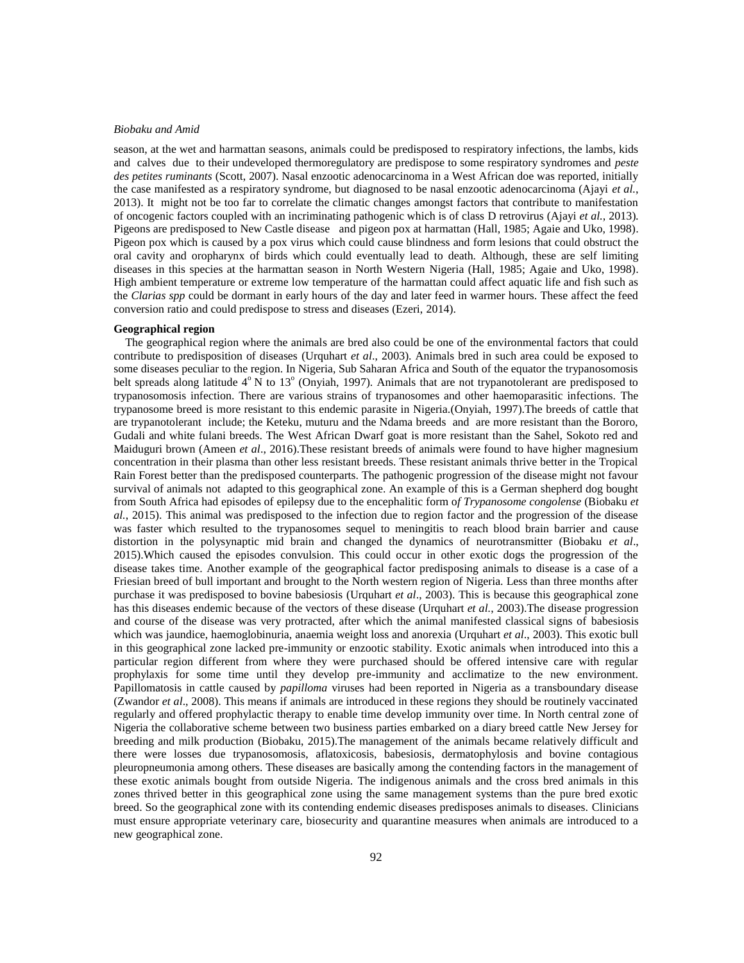season, at the wet and harmattan seasons, animals could be predisposed to respiratory infections, the lambs, kids and calves due to their undeveloped thermoregulatory are predispose to some respiratory syndromes and *peste des petites ruminants* (Scott, 2007). Nasal enzootic adenocarcinoma in a West African doe was reported, initially the case manifested as a respiratory syndrome, but diagnosed to be nasal enzootic adenocarcinoma (Ajayi *et al.*, 2013). It might not be too far to correlate the climatic changes amongst factors that contribute to manifestation of oncogenic factors coupled with an incriminating pathogenic which is of class D retrovirus (Ajayi *et al.*, 2013). Pigeons are predisposed to New Castle disease and pigeon pox at harmattan (Hall, 1985; Agaie and Uko, 1998). Pigeon pox which is caused by a pox virus which could cause blindness and form lesions that could obstruct the oral cavity and oropharynx of birds which could eventually lead to death. Although, these are self limiting diseases in this species at the harmattan season in North Western Nigeria (Hall, 1985; Agaie and Uko, 1998). High ambient temperature or extreme low temperature of the harmattan could affect aquatic life and fish such as the *Clarias spp* could be dormant in early hours of the day and later feed in warmer hours. These affect the feed conversion ratio and could predispose to stress and diseases (Ezeri, 2014).

#### **Geographical region**

 The geographical region where the animals are bred also could be one of the environmental factors that could contribute to predisposition of diseases (Urquhart *et al*., 2003). Animals bred in such area could be exposed to some diseases peculiar to the region. In Nigeria, Sub Saharan Africa and South of the equator the trypanosomosis belt spreads along latitude  $4^\circ$  N to  $13^\circ$  (Onyiah, 1997). Animals that are not trypanotolerant are predisposed to trypanosomosis infection. There are various strains of trypanosomes and other haemoparasitic infections. The trypanosome breed is more resistant to this endemic parasite in Nigeria.(Onyiah, 1997).The breeds of cattle that are trypanotolerant include; the Keteku, muturu and the Ndama breeds and are more resistant than the Bororo, Gudali and white fulani breeds. The West African Dwarf goat is more resistant than the Sahel, Sokoto red and Maiduguri brown (Ameen *et al*., 2016).These resistant breeds of animals were found to have higher magnesium concentration in their plasma than other less resistant breeds. These resistant animals thrive better in the Tropical Rain Forest better than the predisposed counterparts. The pathogenic progression of the disease might not favour survival of animals not adapted to this geographical zone. An example of this is a German shepherd dog bought from South Africa had episodes of epilepsy due to the encephalitic form o*f Trypanosome congolense* (Biobaku *et al.*, 2015). This animal was predisposed to the infection due to region factor and the progression of the disease was faster which resulted to the trypanosomes sequel to meningitis to reach blood brain barrier and cause distortion in the polysynaptic mid brain and changed the dynamics of neurotransmitter (Biobaku *et al*., 2015).Which caused the episodes convulsion. This could occur in other exotic dogs the progression of the disease takes time. Another example of the geographical factor predisposing animals to disease is a case of a Friesian breed of bull important and brought to the North western region of Nigeria. Less than three months after purchase it was predisposed to bovine babesiosis (Urquhart *et al*., 2003). This is because this geographical zone has this diseases endemic because of the vectors of these disease (Urquhart *et al.*, 2003).The disease progression and course of the disease was very protracted, after which the animal manifested classical signs of babesiosis which was jaundice, haemoglobinuria, anaemia weight loss and anorexia (Urquhart *et al*., 2003). This exotic bull in this geographical zone lacked pre-immunity or enzootic stability. Exotic animals when introduced into this a particular region different from where they were purchased should be offered intensive care with regular prophylaxis for some time until they develop pre-immunity and acclimatize to the new environment. Papillomatosis in cattle caused by *papilloma* viruses had been reported in Nigeria as a transboundary disease (Zwandor *et al*., 2008). This means if animals are introduced in these regions they should be routinely vaccinated regularly and offered prophylactic therapy to enable time develop immunity over time. In North central zone of Nigeria the collaborative scheme between two business parties embarked on a diary breed cattle New Jersey for breeding and milk production (Biobaku, 2015).The management of the animals became relatively difficult and there were losses due trypanosomosis, aflatoxicosis, babesiosis, dermatophylosis and bovine contagious pleuropneumonia among others. These diseases are basically among the contending factors in the management of these exotic animals bought from outside Nigeria. The indigenous animals and the cross bred animals in this zones thrived better in this geographical zone using the same management systems than the pure bred exotic breed. So the geographical zone with its contending endemic diseases predisposes animals to diseases. Clinicians must ensure appropriate veterinary care, biosecurity and quarantine measures when animals are introduced to a new geographical zone.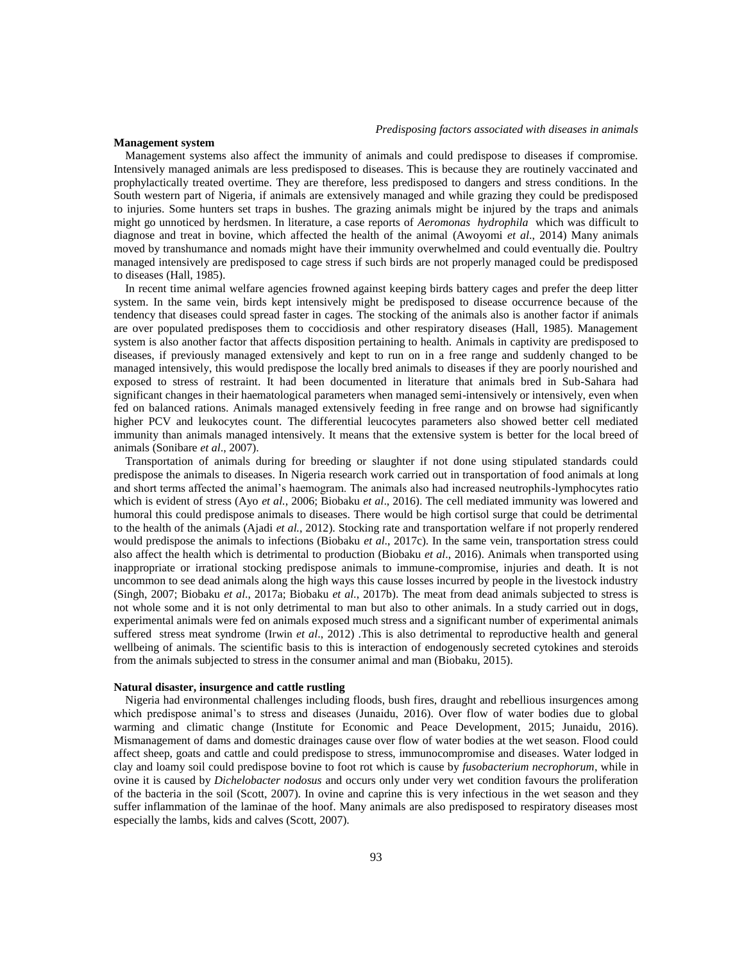## *Predisposing factors associated with diseases in animals*

## **Management system**

 Management systems also affect the immunity of animals and could predispose to diseases if compromise. Intensively managed animals are less predisposed to diseases. This is because they are routinely vaccinated and prophylactically treated overtime. They are therefore, less predisposed to dangers and stress conditions. In the South western part of Nigeria, if animals are extensively managed and while grazing they could be predisposed to injuries. Some hunters set traps in bushes. The grazing animals might be injured by the traps and animals might go unnoticed by herdsmen. In literature, a case reports of *Aeromonas hydrophila* which was difficult to diagnose and treat in bovine, which affected the health of the animal (Awoyomi *et al*., 2014) Many animals moved by transhumance and nomads might have their immunity overwhelmed and could eventually die. Poultry managed intensively are predisposed to cage stress if such birds are not properly managed could be predisposed to diseases (Hall, 1985).

 In recent time animal welfare agencies frowned against keeping birds battery cages and prefer the deep litter system. In the same vein, birds kept intensively might be predisposed to disease occurrence because of the tendency that diseases could spread faster in cages. The stocking of the animals also is another factor if animals are over populated predisposes them to coccidiosis and other respiratory diseases (Hall, 1985). Management system is also another factor that affects disposition pertaining to health. Animals in captivity are predisposed to diseases, if previously managed extensively and kept to run on in a free range and suddenly changed to be managed intensively, this would predispose the locally bred animals to diseases if they are poorly nourished and exposed to stress of restraint. It had been documented in literature that animals bred in Sub-Sahara had significant changes in their haematological parameters when managed semi-intensively or intensively, even when fed on balanced rations. Animals managed extensively feeding in free range and on browse had significantly higher PCV and leukocytes count. The differential leucocytes parameters also showed better cell mediated immunity than animals managed intensively. It means that the extensive system is better for the local breed of animals (Sonibare *et al*., 2007).

 Transportation of animals during for breeding or slaughter if not done using stipulated standards could predispose the animals to diseases. In Nigeria research work carried out in transportation of food animals at long and short terms affected the animal"s haemogram. The animals also had increased neutrophils-lymphocytes ratio which is evident of stress (Ayo *et al.*, 2006; Biobaku *et al*., 2016). The cell mediated immunity was lowered and humoral this could predispose animals to diseases. There would be high cortisol surge that could be detrimental to the health of the animals (Ajadi *et al.*, 2012). Stocking rate and transportation welfare if not properly rendered would predispose the animals to infections (Biobaku *et al*., 2017c). In the same vein, transportation stress could also affect the health which is detrimental to production (Biobaku *et al*., 2016). Animals when transported using inappropriate or irrational stocking predispose animals to immune-compromise, injuries and death. It is not uncommon to see dead animals along the high ways this cause losses incurred by people in the livestock industry (Singh, 2007; Biobaku *et al*., 2017a; Biobaku *et al*., 2017b). The meat from dead animals subjected to stress is not whole some and it is not only detrimental to man but also to other animals. In a study carried out in dogs, experimental animals were fed on animals exposed much stress and a significant number of experimental animals suffered stress meat syndrome (Irwin *et al*., 2012) .This is also detrimental to reproductive health and general wellbeing of animals. The scientific basis to this is interaction of endogenously secreted cytokines and steroids from the animals subjected to stress in the consumer animal and man (Biobaku, 2015).

#### **Natural disaster, insurgence and cattle rustling**

 Nigeria had environmental challenges including floods, bush fires, draught and rebellious insurgences among which predispose animal's to stress and diseases (Junaidu, 2016). Over flow of water bodies due to global warming and climatic change (Institute for Economic and Peace Development, 2015; Junaidu, 2016). Mismanagement of dams and domestic drainages cause over flow of water bodies at the wet season. Flood could affect sheep, goats and cattle and could predispose to stress, immunocompromise and diseases. Water lodged in clay and loamy soil could predispose bovine to foot rot which is cause by *fusobacterium necrophorum*, while in ovine it is caused by *Dichelobacter nodosus* and occurs only under very wet condition favours the proliferation of the bacteria in the soil (Scott, 2007). In ovine and caprine this is very infectious in the wet season and they suffer inflammation of the laminae of the hoof. Many animals are also predisposed to respiratory diseases most especially the lambs, kids and calves (Scott, 2007).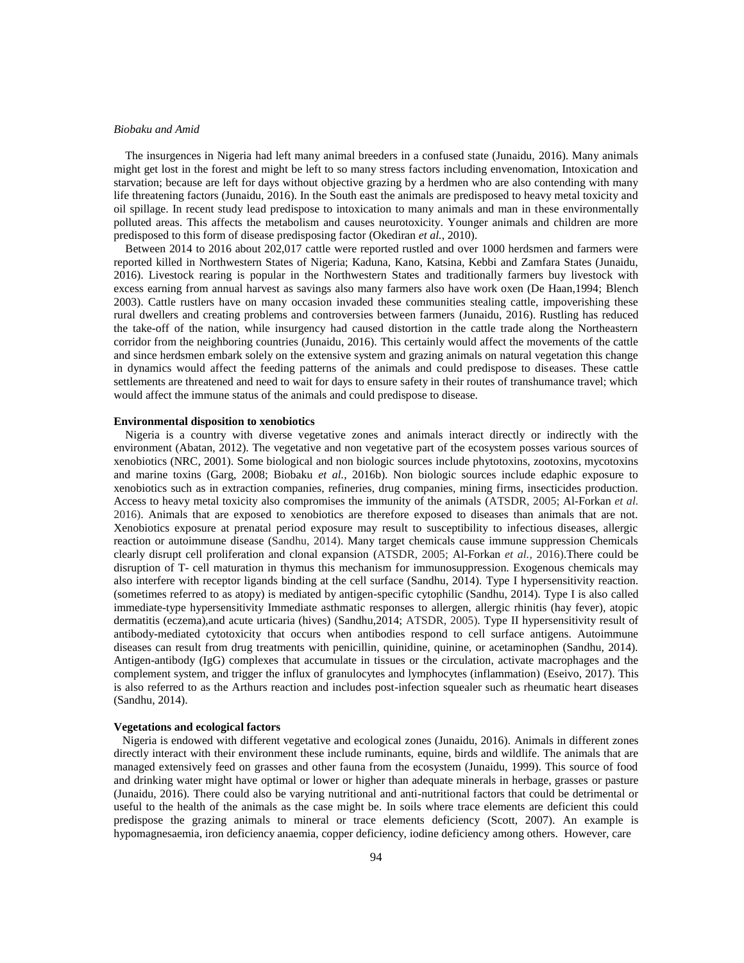The insurgences in Nigeria had left many animal breeders in a confused state (Junaidu, 2016). Many animals might get lost in the forest and might be left to so many stress factors including envenomation, Intoxication and starvation; because are left for days without objective grazing by a herdmen who are also contending with many life threatening factors (Junaidu, 2016). In the South east the animals are predisposed to heavy metal toxicity and oil spillage. In recent study lead predispose to intoxication to many animals and man in these environmentally polluted areas. This affects the metabolism and causes neurotoxicity. Younger animals and children are more predisposed to this form of disease predisposing factor (Okediran *et al.*, 2010).

 Between 2014 to 2016 about 202,017 cattle were reported rustled and over 1000 herdsmen and farmers were reported killed in Northwestern States of Nigeria; Kaduna, Kano, Katsina, Kebbi and Zamfara States (Junaidu, 2016). Livestock rearing is popular in the Northwestern States and traditionally farmers buy livestock with excess earning from annual harvest as savings also many farmers also have work oxen (De Haan,1994; Blench 2003). Cattle rustlers have on many occasion invaded these communities stealing cattle, impoverishing these rural dwellers and creating problems and controversies between farmers (Junaidu, 2016). Rustling has reduced the take-off of the nation, while insurgency had caused distortion in the cattle trade along the Northeastern corridor from the neighboring countries (Junaidu, 2016). This certainly would affect the movements of the cattle and since herdsmen embark solely on the extensive system and grazing animals on natural vegetation this change in dynamics would affect the feeding patterns of the animals and could predispose to diseases. These cattle settlements are threatened and need to wait for days to ensure safety in their routes of transhumance travel; which would affect the immune status of the animals and could predispose to disease.

## **Environmental disposition to xenobiotics**

 Nigeria is a country with diverse vegetative zones and animals interact directly or indirectly with the environment (Abatan, 2012). The vegetative and non vegetative part of the ecosystem posses various sources of xenobiotics (NRC, 2001). Some biological and non biologic sources include phytotoxins, zootoxins, mycotoxins and marine toxins (Garg, 2008; Biobaku *et al.*, 2016b). Non biologic sources include edaphic exposure to xenobiotics such as in extraction companies, refineries, drug companies, mining firms, insecticides production. Access to heavy metal toxicity also compromises the immunity of the animals (ATSDR, 2005; Al-Forkan *et al.* 2016). Animals that are exposed to xenobiotics are therefore exposed to diseases than animals that are not. Xenobiotics exposure at prenatal period exposure may result to susceptibility to infectious diseases, allergic reaction or autoimmune disease (Sandhu, 2014). Many target chemicals cause immune suppression Chemicals clearly disrupt cell proliferation and clonal expansion (ATSDR, 2005; Al-Forkan *et al.*, 2016).There could be disruption of T- cell maturation in thymus this mechanism for immunosuppression. Exogenous chemicals may also interfere with receptor ligands binding at the cell surface (Sandhu, 2014). Type I hypersensitivity reaction. (sometimes referred to as atopy) is mediated by antigen-specific cytophilic (Sandhu, 2014). Type I is also called immediate-type hypersensitivity Immediate asthmatic responses to allergen, allergic rhinitis (hay fever), atopic dermatitis (eczema),and acute urticaria (hives) (Sandhu,2014; ATSDR, 2005). Type II hypersensitivity result of antibody-mediated cytotoxicity that occurs when antibodies respond to cell surface antigens. Autoimmune diseases can result from drug treatments with penicillin, quinidine, quinine, or acetaminophen (Sandhu, 2014). Antigen-antibody (IgG) complexes that accumulate in tissues or the circulation, activate macrophages and the complement system, and trigger the influx of granulocytes and lymphocytes (inflammation) (Eseivo, 2017). This is also referred to as the Arthurs reaction and includes post-infection squealer such as rheumatic heart diseases (Sandhu, 2014).

#### **Vegetations and ecological factors**

 Nigeria is endowed with different vegetative and ecological zones (Junaidu, 2016). Animals in different zones directly interact with their environment these include ruminants, equine, birds and wildlife. The animals that are managed extensively feed on grasses and other fauna from the ecosystem (Junaidu, 1999). This source of food and drinking water might have optimal or lower or higher than adequate minerals in herbage, grasses or pasture (Junaidu, 2016). There could also be varying nutritional and anti-nutritional factors that could be detrimental or useful to the health of the animals as the case might be. In soils where trace elements are deficient this could predispose the grazing animals to mineral or trace elements deficiency (Scott, 2007). An example is hypomagnesaemia, iron deficiency anaemia, copper deficiency, iodine deficiency among others. However, care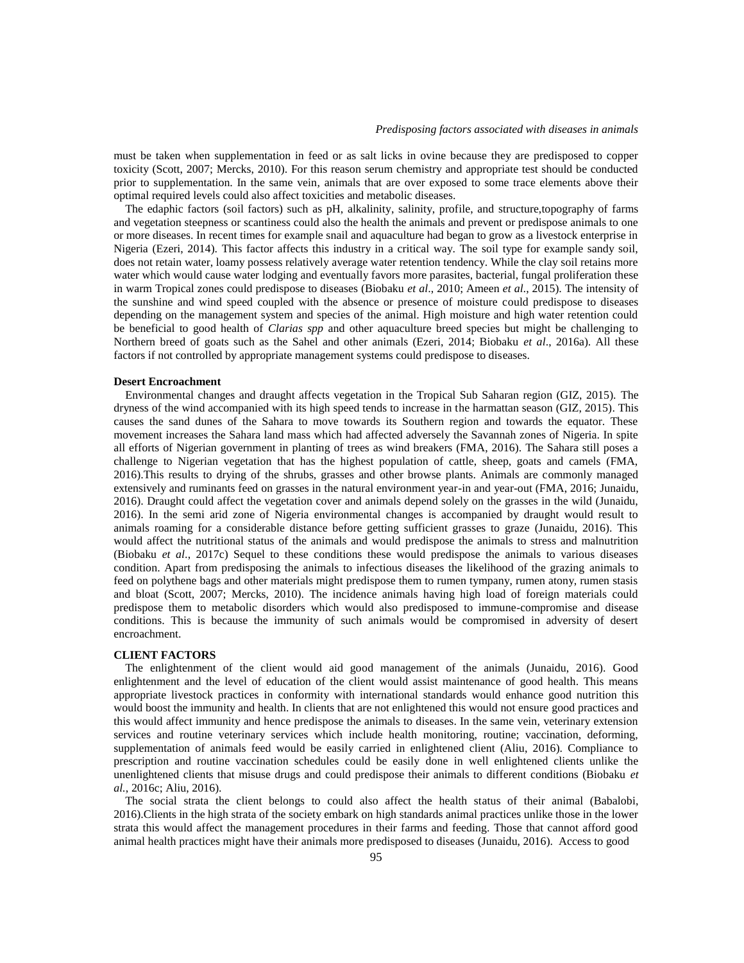must be taken when supplementation in feed or as salt licks in ovine because they are predisposed to copper toxicity (Scott, 2007; Mercks, 2010). For this reason serum chemistry and appropriate test should be conducted prior to supplementation. In the same vein, animals that are over exposed to some trace elements above their optimal required levels could also affect toxicities and metabolic diseases.

 The edaphic factors (soil factors) such as pH, alkalinity, salinity, profile, and structure,topography of farms and vegetation steepness or scantiness could also the health the animals and prevent or predispose animals to one or more diseases. In recent times for example snail and aquaculture had began to grow as a livestock enterprise in Nigeria (Ezeri, 2014). This factor affects this industry in a critical way. The soil type for example sandy soil, does not retain water, loamy possess relatively average water retention tendency. While the clay soil retains more water which would cause water lodging and eventually favors more parasites, bacterial, fungal proliferation these in warm Tropical zones could predispose to diseases (Biobaku *et al*., 2010; Ameen *et al.*, 2015). The intensity of the sunshine and wind speed coupled with the absence or presence of moisture could predispose to diseases depending on the management system and species of the animal. High moisture and high water retention could be beneficial to good health of *Clarias spp* and other aquaculture breed species but might be challenging to Northern breed of goats such as the Sahel and other animals (Ezeri, 2014; Biobaku *et al*., 2016a). All these factors if not controlled by appropriate management systems could predispose to diseases.

## **Desert Encroachment**

 Environmental changes and draught affects vegetation in the Tropical Sub Saharan region (GIZ, 2015). The dryness of the wind accompanied with its high speed tends to increase in the harmattan season (GIZ, 2015). This causes the sand dunes of the Sahara to move towards its Southern region and towards the equator. These movement increases the Sahara land mass which had affected adversely the Savannah zones of Nigeria. In spite all efforts of Nigerian government in planting of trees as wind breakers (FMA, 2016). The Sahara still poses a challenge to Nigerian vegetation that has the highest population of cattle, sheep, goats and camels (FMA, 2016).This results to drying of the shrubs, grasses and other browse plants. Animals are commonly managed extensively and ruminants feed on grasses in the natural environment year-in and year-out (FMA, 2016; Junaidu, 2016). Draught could affect the vegetation cover and animals depend solely on the grasses in the wild (Junaidu, 2016). In the semi arid zone of Nigeria environmental changes is accompanied by draught would result to animals roaming for a considerable distance before getting sufficient grasses to graze (Junaidu, 2016). This would affect the nutritional status of the animals and would predispose the animals to stress and malnutrition (Biobaku *et al*., 2017c) Sequel to these conditions these would predispose the animals to various diseases condition. Apart from predisposing the animals to infectious diseases the likelihood of the grazing animals to feed on polythene bags and other materials might predispose them to rumen tympany, rumen atony, rumen stasis and bloat (Scott, 2007; Mercks, 2010). The incidence animals having high load of foreign materials could predispose them to metabolic disorders which would also predisposed to immune-compromise and disease conditions. This is because the immunity of such animals would be compromised in adversity of desert encroachment.

## **CLIENT FACTORS**

 The enlightenment of the client would aid good management of the animals (Junaidu, 2016). Good enlightenment and the level of education of the client would assist maintenance of good health. This means appropriate livestock practices in conformity with international standards would enhance good nutrition this would boost the immunity and health. In clients that are not enlightened this would not ensure good practices and this would affect immunity and hence predispose the animals to diseases. In the same vein, veterinary extension services and routine veterinary services which include health monitoring, routine; vaccination, deforming, supplementation of animals feed would be easily carried in enlightened client (Aliu, 2016). Compliance to prescription and routine vaccination schedules could be easily done in well enlightened clients unlike the unenlightened clients that misuse drugs and could predispose their animals to different conditions (Biobaku *et al.*, 2016c; Aliu, 2016).

 The social strata the client belongs to could also affect the health status of their animal (Babalobi, 2016).Clients in the high strata of the society embark on high standards animal practices unlike those in the lower strata this would affect the management procedures in their farms and feeding. Those that cannot afford good animal health practices might have their animals more predisposed to diseases (Junaidu, 2016). Access to good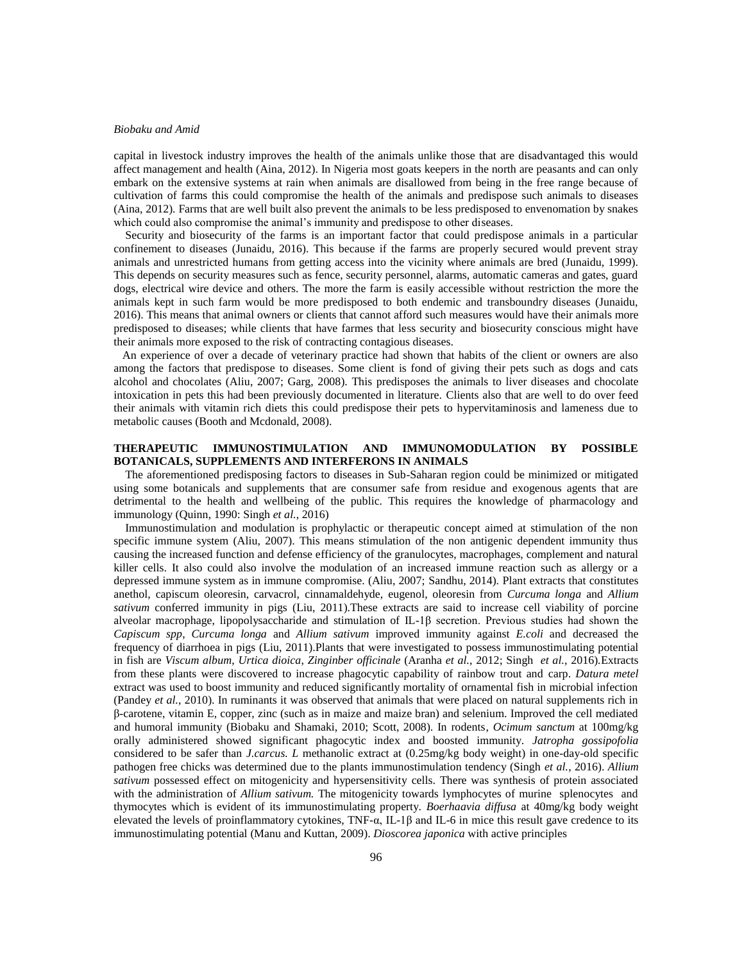capital in livestock industry improves the health of the animals unlike those that are disadvantaged this would affect management and health (Aina, 2012). In Nigeria most goats keepers in the north are peasants and can only embark on the extensive systems at rain when animals are disallowed from being in the free range because of cultivation of farms this could compromise the health of the animals and predispose such animals to diseases (Aina, 2012). Farms that are well built also prevent the animals to be less predisposed to envenomation by snakes which could also compromise the animal's immunity and predispose to other diseases.

 Security and biosecurity of the farms is an important factor that could predispose animals in a particular confinement to diseases (Junaidu, 2016). This because if the farms are properly secured would prevent stray animals and unrestricted humans from getting access into the vicinity where animals are bred (Junaidu, 1999). This depends on security measures such as fence, security personnel, alarms, automatic cameras and gates, guard dogs, electrical wire device and others. The more the farm is easily accessible without restriction the more the animals kept in such farm would be more predisposed to both endemic and transboundry diseases (Junaidu, 2016). This means that animal owners or clients that cannot afford such measures would have their animals more predisposed to diseases; while clients that have farmes that less security and biosecurity conscious might have their animals more exposed to the risk of contracting contagious diseases.

 An experience of over a decade of veterinary practice had shown that habits of the client or owners are also among the factors that predispose to diseases. Some client is fond of giving their pets such as dogs and cats alcohol and chocolates (Aliu, 2007; Garg, 2008). This predisposes the animals to liver diseases and chocolate intoxication in pets this had been previously documented in literature. Clients also that are well to do over feed their animals with vitamin rich diets this could predispose their pets to hypervitaminosis and lameness due to metabolic causes (Booth and Mcdonald, 2008).

## **THERAPEUTIC IMMUNOSTIMULATION AND IMMUNOMODULATION BY POSSIBLE BOTANICALS, SUPPLEMENTS AND INTERFERONS IN ANIMALS**

 The aforementioned predisposing factors to diseases in Sub-Saharan region could be minimized or mitigated using some botanicals and supplements that are consumer safe from residue and exogenous agents that are detrimental to the health and wellbeing of the public. This requires the knowledge of pharmacology and immunology (Quinn, 1990: Singh *et al.*, 2016)

 Immunostimulation and modulation is prophylactic or therapeutic concept aimed at stimulation of the non specific immune system (Aliu, 2007). This means stimulation of the non antigenic dependent immunity thus causing the increased function and defense efficiency of the granulocytes, macrophages, complement and natural killer cells. It also could also involve the modulation of an increased immune reaction such as allergy or a depressed immune system as in immune compromise. (Aliu, 2007; Sandhu, 2014). Plant extracts that constitutes anethol, capiscum oleoresin, carvacrol, cinnamaldehyde, eugenol, oleoresin from *Curcuma longa* and *Allium sativum* conferred immunity in pigs (Liu, 2011).These extracts are said to increase cell viability of porcine alveolar macrophage, lipopolysaccharide and stimulation of IL-1β secretion. Previous studies had shown the *Capiscum spp*, *Curcuma longa* and *Allium sativum* improved immunity against *E.coli* and decreased the frequency of diarrhoea in pigs (Liu, 2011).Plants that were investigated to possess immunostimulating potential in fish are *Viscum album*, *Urtica dioica*, *Zinginber officinale* (Aranha *et al.*, 2012; Singh *et al.*, 2016)*.*Extracts from these plants were discovered to increase phagocytic capability of rainbow trout and carp. *Datura metel* extract was used to boost immunity and reduced significantly mortality of ornamental fish in microbial infection (Pandey *et al.*, 2010). In ruminants it was observed that animals that were placed on natural supplements rich in β-carotene, vitamin E, copper, zinc (such as in maize and maize bran) and selenium. Improved the cell mediated and humoral immunity (Biobaku and Shamaki, 2010; Scott, 2008). In rodents, *Ocimum sanctum* at 100mg/kg orally administered showed significant phagocytic index and boosted immunity. *Jatropha gossipofolia*  considered to be safer than *J.carcus. L* methanolic extract at (0.25mg/kg body weight) in one-day-old specific pathogen free chicks was determined due to the plants immunostimulation tendency (Singh *et al.*, 2016). *Allium sativum* possessed effect on mitogenicity and hypersensitivity cells. There was synthesis of protein associated with the administration of *Allium sativum.* The mitogenicity towards lymphocytes of murine splenocytes and thymocytes which is evident of its immunostimulating property. *Boerhaavia diffusa* at 40mg/kg body weight elevated the levels of proinflammatory cytokines, TNF- $\alpha$ , IL-1 $\beta$  and IL-6 in mice this result gave credence to its immunostimulating potential (Manu and Kuttan, 2009). *Dioscorea japonica* with active principles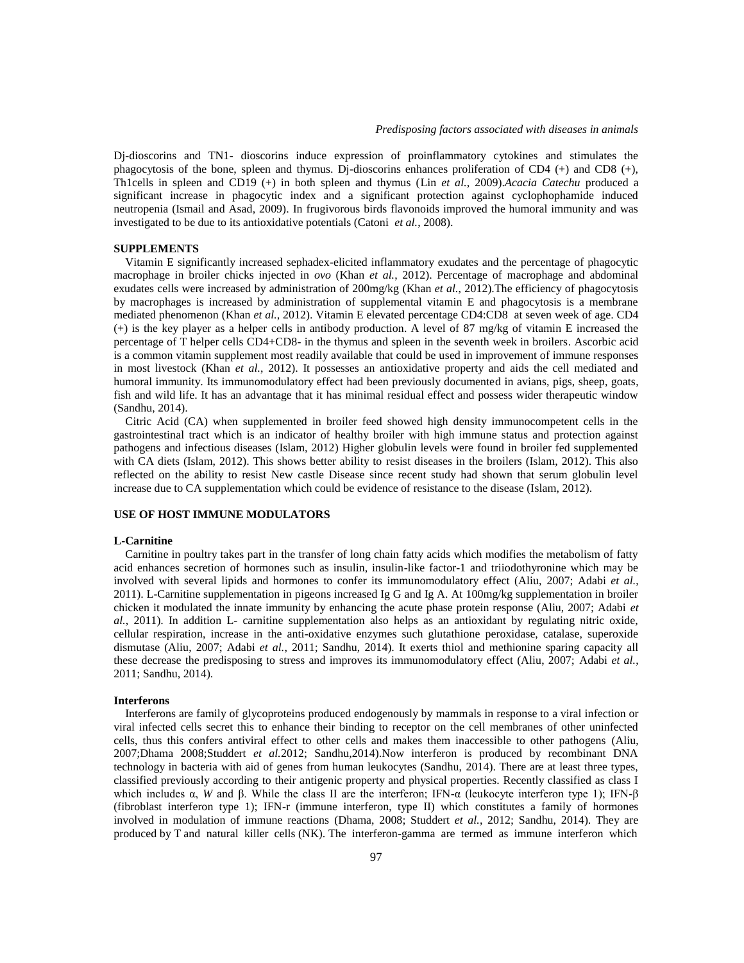Dj-dioscorins and TN1- dioscorins induce expression of proinflammatory cytokines and stimulates the phagocytosis of the bone, spleen and thymus. Dj-dioscorins enhances proliferation of CD4 (+) and CD8 (+), Th1cells in spleen and CD19 (+) in both spleen and thymus (Lin *et al.*, 2009).*Acacia Catechu* produced a significant increase in phagocytic index and a significant protection against cyclophophamide induced neutropenia (Ismail and Asad, 2009). In frugivorous birds flavonoids improved the humoral immunity and was investigated to be due to its antioxidative potentials (Catoni *et al.*, 2008).

## **SUPPLEMENTS**

 Vitamin E significantly increased sephadex-elicited inflammatory exudates and the percentage of phagocytic macrophage in broiler chicks injected in *ovo* (Khan *et al.*, 2012). Percentage of macrophage and abdominal exudates cells were increased by administration of 200mg/kg (Khan *et al.*, 2012).The efficiency of phagocytosis by macrophages is increased by administration of supplemental vitamin E and phagocytosis is a membrane mediated phenomenon (Khan *et al.*, 2012). Vitamin E elevated percentage CD4:CD8 at seven week of age. CD4 (+) is the key player as a helper cells in antibody production. A level of 87 mg/kg of vitamin E increased the percentage of T helper cells CD4+CD8- in the thymus and spleen in the seventh week in broilers. Ascorbic acid is a common vitamin supplement most readily available that could be used in improvement of immune responses in most livestock (Khan *et al.*, 2012). It possesses an antioxidative property and aids the cell mediated and humoral immunity. Its immunomodulatory effect had been previously documented in avians, pigs, sheep, goats, fish and wild life. It has an advantage that it has minimal residual effect and possess wider therapeutic window (Sandhu, 2014).

 Citric Acid (CA) when supplemented in broiler feed showed high density immunocompetent cells in the gastrointestinal tract which is an indicator of healthy broiler with high immune status and protection against pathogens and infectious diseases (Islam, 2012) Higher globulin levels were found in broiler fed supplemented with CA diets (Islam, 2012). This shows better ability to resist diseases in the broilers (Islam, 2012). This also reflected on the ability to resist New castle Disease since recent study had shown that serum globulin level increase due to CA supplementation which could be evidence of resistance to the disease (Islam, 2012).

## **USE OF HOST IMMUNE MODULATORS**

#### **L-Carnitine**

 Carnitine in poultry takes part in the transfer of long chain fatty acids which modifies the metabolism of fatty acid enhances secretion of hormones such as insulin, insulin-like factor-1 and triiodothyronine which may be involved with several lipids and hormones to confer its immunomodulatory effect (Aliu, 2007; Adabi *et al.*, 2011). L-Carnitine supplementation in pigeons increased Ig G and Ig A. At 100mg/kg supplementation in broiler chicken it modulated the innate immunity by enhancing the acute phase protein response (Aliu, 2007; Adabi *et al.*, 2011). In addition L- carnitine supplementation also helps as an antioxidant by regulating nitric oxide, cellular respiration, increase in the anti-oxidative enzymes such glutathione peroxidase, catalase, superoxide dismutase (Aliu, 2007; Adabi *et al.*, 2011; Sandhu, 2014). It exerts thiol and methionine sparing capacity all these decrease the predisposing to stress and improves its immunomodulatory effect (Aliu, 2007; Adabi *et al.*, 2011; Sandhu, 2014).

## **Interferons**

 Interferons are family of glycoproteins produced endogenously by mammals in response to a viral infection or viral infected cells secret this to enhance their binding to receptor on the cell membranes of other uninfected cells, thus this confers antiviral effect to other cells and makes them inaccessible to other pathogens (Aliu, 2007;Dhama 2008;Studdert *et al.*2012; Sandhu,2014).Now interferon is produced by recombinant DNA technology in bacteria with aid of genes from human leukocytes (Sandhu, 2014). There are at least three types, classified previously according to their antigenic property and physical properties. Recently classified as class I which includes α, *W* and β. While the class II are the interferon; IFN-α (leukocyte interferon type 1); IFN-β (fibroblast interferon type 1); IFN-r (immune interferon, type II) which constitutes a family of hormones involved in modulation of immune reactions (Dhama, 2008; Studdert *et al.*, 2012; Sandhu, 2014). They are produced by T and natural killer cells (NK). The interferon-gamma are termed as immune interferon which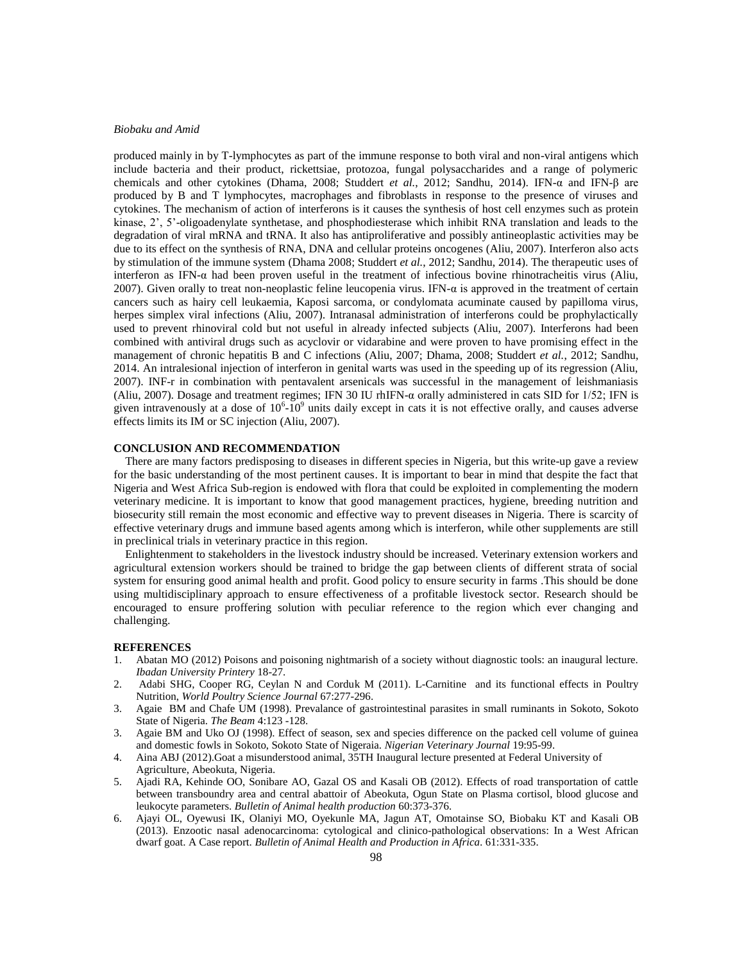produced mainly in by T-lymphocytes as part of the immune response to both viral and non-viral antigens which include bacteria and their product, rickettsiae, protozoa, fungal polysaccharides and a range of polymeric chemicals and other cytokines (Dhama, 2008; Studdert *et al.*, 2012; Sandhu, 2014). IFN-α and IFN-β are produced by B and T lymphocytes, macrophages and fibroblasts in response to the presence of viruses and cytokines. The mechanism of action of interferons is it causes the synthesis of host cell enzymes such as protein kinase, 2', 5'-oligoadenylate synthetase, and phosphodiesterase which inhibit RNA translation and leads to the degradation of viral mRNA and tRNA. It also has antiproliferative and possibly antineoplastic activities may be due to its effect on the synthesis of RNA, DNA and cellular proteins oncogenes (Aliu, 2007). Interferon also acts by stimulation of the immune system (Dhama 2008; Studdert *et al.*, 2012; Sandhu, 2014). The therapeutic uses of interferon as IFN-α had been proven useful in the treatment of infectious bovine rhinotracheitis virus (Aliu, 2007). Given orally to treat non-neoplastic feline leucopenia virus. IFN- $\alpha$  is approved in the treatment of certain cancers such as hairy cell leukaemia, Kaposi sarcoma, or condylomata acuminate caused by papilloma virus, herpes simplex viral infections (Aliu, 2007). Intranasal administration of interferons could be prophylactically used to prevent rhinoviral cold but not useful in already infected subjects (Aliu, 2007). Interferons had been combined with antiviral drugs such as acyclovir or vidarabine and were proven to have promising effect in the management of chronic hepatitis B and C infections (Aliu, 2007; Dhama, 2008; Studdert *et al.*, 2012; Sandhu, 2014. An intralesional injection of interferon in genital warts was used in the speeding up of its regression (Aliu, 2007). INF-r in combination with pentavalent arsenicals was successful in the management of leishmaniasis (Aliu, 2007). Dosage and treatment regimes; IFN 30 IU rhIFN-α orally administered in cats SID for 1/52; IFN is given intravenously at a dose of  $10^6$ - $10^9$  units daily except in cats it is not effective orally, and causes adverse effects limits its IM or SC injection (Aliu, 2007).

### **CONCLUSION AND RECOMMENDATION**

 There are many factors predisposing to diseases in different species in Nigeria, but this write-up gave a review for the basic understanding of the most pertinent causes. It is important to bear in mind that despite the fact that Nigeria and West Africa Sub-region is endowed with flora that could be exploited in complementing the modern veterinary medicine. It is important to know that good management practices, hygiene, breeding nutrition and biosecurity still remain the most economic and effective way to prevent diseases in Nigeria. There is scarcity of effective veterinary drugs and immune based agents among which is interferon, while other supplements are still in preclinical trials in veterinary practice in this region.

 Enlightenment to stakeholders in the livestock industry should be increased. Veterinary extension workers and agricultural extension workers should be trained to bridge the gap between clients of different strata of social system for ensuring good animal health and profit. Good policy to ensure security in farms .This should be done using multidisciplinary approach to ensure effectiveness of a profitable livestock sector. Research should be encouraged to ensure proffering solution with peculiar reference to the region which ever changing and challenging.

## **REFERENCES**

- 1. Abatan MO (2012) Poisons and poisoning nightmarish of a society without diagnostic tools: an inaugural lecture. *Ibadan University Printery* 18-27.
- 2. Adabi SHG, Cooper RG, Ceylan N and Corduk M (2011). L-Carnitine and its functional effects in Poultry Nutrition, *World Poultry Science Journal* 67:277-296.
- 3. Agaie BM and Chafe UM (1998). Prevalance of gastrointestinal parasites in small ruminants in Sokoto, Sokoto State of Nigeria. *The Beam* 4:123 -128.
- 3. Agaie BM and Uko OJ (1998). Effect of season, sex and species difference on the packed cell volume of guinea and domestic fowls in Sokoto, Sokoto State of Nigeraia. *Nigerian Veterinary Journal* 19:95-99.
- 4. Aina ABJ (2012).Goat a misunderstood animal, 35TH Inaugural lecture presented at Federal University of Agriculture, Abeokuta, Nigeria.
- 5. Ajadi RA, Kehinde OO, Sonibare AO, Gazal OS and Kasali OB (2012). Effects of road transportation of cattle between transboundry area and central abattoir of Abeokuta, Ogun State on Plasma cortisol, blood glucose and leukocyte parameters. *Bulletin of Animal health production* 60:373-376.
- 6. Ajayi OL, Oyewusi IK, Olaniyi MO, Oyekunle MA, Jagun AT, Omotainse SO, Biobaku KT and Kasali OB (2013). Enzootic nasal adenocarcinoma: cytological and clinico-pathological observations: In a West African dwarf goat. A Case report. *Bulletin of Animal Health and Production in Africa.* 61:331-335.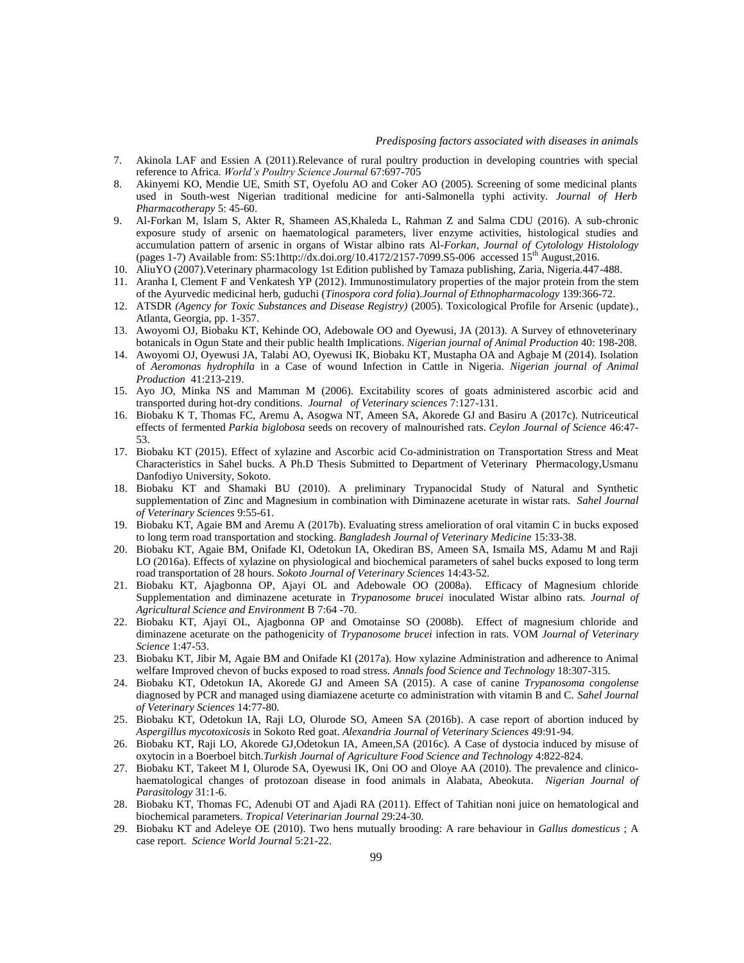*Predisposing factors associated with diseases in animals*

- 7. Akinola LAF and Essien A (2011).Relevance of rural poultry production in developing countries with special reference to Africa. *World's Poultry Science Journal* 67:697-705
- 8. Akinyemi KO, Mendie UE, Smith ST, Oyefolu AO and Coker AO (2005). Screening of some medicinal plants used in South-west Nigerian traditional medicine for anti-Salmonella typhi activity. *Journal of Herb Pharmacotherapy* 5: 45-60.
- 9. Al-Forkan M, Islam S, Akter R, Shameen AS,Khaleda L, Rahman Z and Salma CDU (2016). A sub-chronic exposure study of arsenic on haematological parameters, liver enzyme activities, histological studies and accumulation pattern of arsenic in organs of Wistar albino rats Al*-Forkan, Journal of Cytolology Histolology* (pages 1-7) Available from: S5:1http://dx.doi.org/10.4172/2157-7099.S5-006 accessed 15th August,2016.
- 10. AliuYO (2007).Veterinary pharmacology 1st Edition published by Tamaza publishing, Zaria, Nigeria.447-488.
- 11. Aranha I, Clement F and Venkatesh YP (2012). Immunostimulatory properties of the major protein from the stem of the Ayurvedic medicinal herb, guduchi (*Tinospora cord folia*).*Journal of Ethnopharmacology* 139:366-72.
- 12. ATSDR *(Agency for Toxic Substances and Disease Registry)* (2005). Toxicological Profile for Arsenic (update)*.*, Atlanta, Georgia, pp. 1-357.
- 13. Awoyomi OJ, Biobaku KT, Kehinde OO, Adebowale OO and Oyewusi, JA (2013). A Survey of ethnoveterinary botanicals in Ogun State and their public health Implications. *Nigerian journal of Animal Production* 40: 198-208.
- 14. Awoyomi OJ, Oyewusi JA, Talabi AO, Oyewusi IK, Biobaku KT, Mustapha OA and Agbaje M (2014). Isolation of *Aeromonas hydrophila* in a Case of wound Infection in Cattle in Nigeria. *Nigerian journal of Animal Production* 41:213-219.
- 15. Ayo JO, Minka NS and Mamman M (2006). Excitability scores of goats administered ascorbic acid and transported during hot-dry conditions. *Journal of Veterinary sciences* 7:127-131.
- 16. Biobaku K T, Thomas FC, Aremu A, Asogwa NT, Ameen SA, Akorede GJ and Basiru A (2017c). Nutriceutical effects of fermented *Parkia biglobosa* seeds on recovery of malnourished rats. *Ceylon Journal of Science* 46:47- 53.
- 17. Biobaku KT (2015). Effect of xylazine and Ascorbic acid Co-administration on Transportation Stress and Meat Characteristics in Sahel bucks. A Ph.D Thesis Submitted to Department of Veterinary Phermacology,Usmanu Danfodiyo University, Sokoto.
- 18. Biobaku KT and Shamaki BU (2010). A preliminary Trypanocidal Study of Natural and Synthetic supplementation of Zinc and Magnesium in combination with Diminazene aceturate in wistar rats. *Sahel Journal of Veterinary Sciences* 9:55-61.
- 19. Biobaku KT, Agaie BM and Aremu A (2017b). Evaluating stress amelioration of oral vitamin C in bucks exposed to long term road transportation and stocking. *Bangladesh Journal of Veterinary Medicine* 15:33-38.
- 20. Biobaku KT, Agaie BM, Onifade KI, Odetokun IA, Okediran BS, Ameen SA, Ismaila MS, Adamu M and Raji LO (2016a). Effects of xylazine on physiological and biochemical parameters of sahel bucks exposed to long term road transportation of 28 hours. *Sokoto Journal of Veterinary Sciences* 14:43-52.
- 21. Biobaku KT, Ajagbonna OP, Ajayi OL and Adebowale OO (2008a). Efficacy of Magnesium chloride Supplementation and diminazene aceturate in *Trypanosome brucei* inoculated Wistar albino rats. *Journal of Agricultural Science and Environment* B 7:64 -70.
- 22. Biobaku KT, Ajayi OL, Ajagbonna OP and Omotainse SO (2008b). Effect of magnesium chloride and diminazene aceturate on the pathogenicity of *Trypanosome brucei* infection in rats. VOM *Journal of Veterinary Science* 1:47-53.
- 23. Biobaku KT, Jibir M, Agaie BM and Onifade KI (2017a). How xylazine Administration and adherence to Animal welfare Improved chevon of bucks exposed to road stress. *Annals food Science and Technology* 18:307-315.
- 24. Biobaku KT, Odetokun IA, Akorede GJ and Ameen SA (2015). A case of canine *Trypanosoma congolense* diagnosed by PCR and managed using diamiazene aceturte co administration with vitamin B and C. *Sahel Journal of Veterinary Sciences* 14:77-80*.*
- 25. Biobaku KT, Odetokun IA, Raji LO, Olurode SO, Ameen SA (2016b). A case report of abortion induced by *Aspergillus mycotoxicosis* in Sokoto Red goat. *Alexandria Journal of Veterinary Sciences* 49:91-94.
- 26. Biobaku KT, Raji LO, Akorede GJ,Odetokun IA, Ameen,SA (2016c). A Case of dystocia induced by misuse of oxytocin in a Boerboel bitch.*Turkish Journal of Agriculture Food Science and Technology* 4:822-824.
- 27. Biobaku KT, Takeet M I, Olurode SA, Oyewusi IK, Oni OO and Oloye AA (2010). The prevalence and clinicohaematological changes of protozoan disease in food animals in Alabata, Abeokuta. *Nigerian Journal of Parasitology* 31:1-6.
- 28. Biobaku KT, Thomas FC, Adenubi OT and Ajadi RA (2011). Effect of Tahitian noni juice on hematological and biochemical parameters. *Tropical Veterinarian Journal* 29:24-30.
- 29. Biobaku KT and Adeleye OE (2010). Two hens mutually brooding: A rare behaviour in *Gallus domesticus* ; A case report. *Science World Journal* 5:21-22.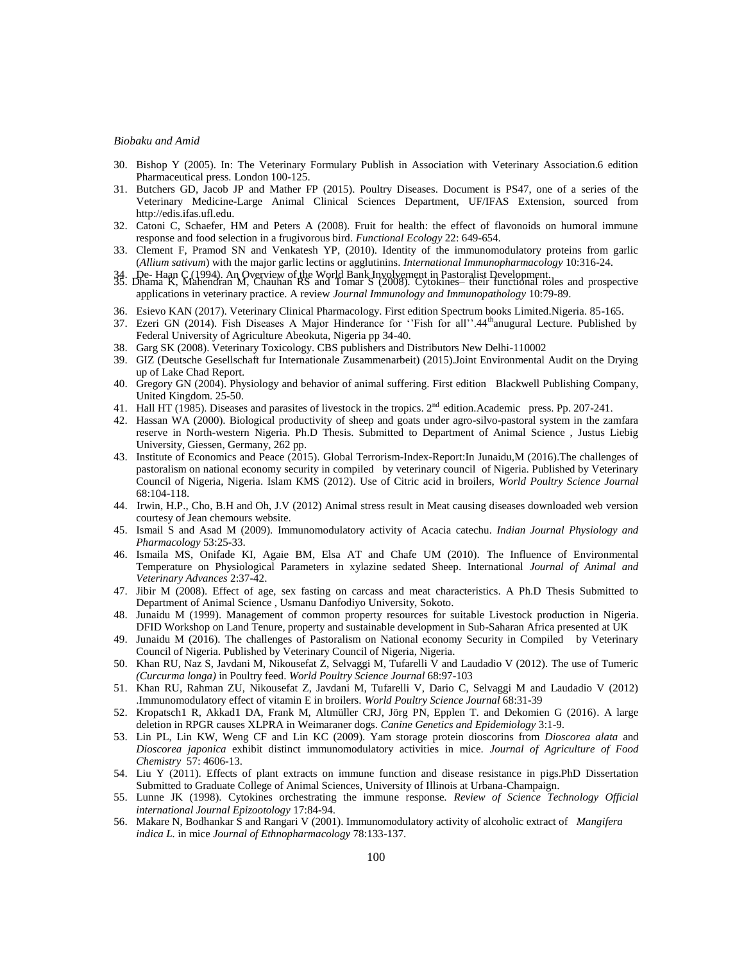- 30. Bishop Y (2005). In: The Veterinary Formulary Publish in Association with Veterinary Association.6 edition Pharmaceutical press. London 100-125.
- 31. Butchers GD, Jacob JP and Mather FP (2015). Poultry Diseases. Document is PS47, one of a series of the Veterinary Medicine-Large Animal Clinical Sciences Department, UF/IFAS Extension, sourced from http://edis.ifas.ufl.edu.
- 32. Catoni C, Schaefer, HM and Peters A (2008). Fruit for health: the effect of flavonoids on humoral immune response and food selection in a frugivorous bird. *Functional Ecology* 22: 649-654.
- 33. Clement F, Pramod SN and Venkatesh YP, (2010). Identity of the immunomodulatory proteins from garlic (*Allium sativum*) with the major garlic lectins or agglutinins. *International Immunopharmacology* 10:316-24.
- 34. De- Haan C (1994). An Overview of the World Bank Involvement in Pastoralist Development. 35. Dhama K, Mahendran M, Chauhan RS and Tomar S (2008). Cytokines– their functional roles and prospective applications in veterinary practice. A review *Journal Immunology and Immunopathology* 10:79-89.
- 36. Esievo KAN (2017). Veterinary Clinical Pharmacology. First edition Spectrum books Limited.Nigeria. 85-165.
- 37. Ezeri GN (2014). Fish Diseases A Major Hinderance for ""Fish for all"".44thanugural Lecture. Published by Federal University of Agriculture Abeokuta, Nigeria pp 34-40.
- 38. Garg SK (2008). Veterinary Toxicology. CBS publishers and Distributors New Delhi-110002
- 39. GIZ (Deutsche Gesellschaft fur Internationale Zusammenarbeit) (2015).Joint Environmental Audit on the Drying up of Lake Chad Report.
- 40. Gregory GN (2004). Physiology and behavior of animal suffering. First edition Blackwell Publishing Company, United Kingdom. 25-50.
- 41. Hall HT (1985). Diseases and parasites of livestock in the tropics. 2<sup>nd</sup> edition.Academic press. Pp. 207-241.
- 42. Hassan WA (2000). Biological productivity of sheep and goats under agro-silvo-pastoral system in the zamfara reserve in North-western Nigeria. Ph.D Thesis. Submitted to Department of Animal Science , Justus Liebig University, Giessen, Germany, 262 pp.
- 43. Institute of Economics and Peace (2015). Global Terrorism-Index-Report:In Junaidu,M (2016).The challenges of pastoralism on national economy security in compiled by veterinary council of Nigeria. Published by Veterinary Council of Nigeria, Nigeria. Islam KMS (2012). Use of Citric acid in broilers, *World Poultry Science Journal*  68:104-118.
- 44. Irwin, H.P., Cho, B.H and Oh, J.V (2012) Animal stress result in Meat causing diseases downloaded web version courtesy of Jean chemours website.
- 45. Ismail S and Asad M (2009). Immunomodulatory activity of Acacia catechu. *Indian Journal Physiology and Pharmacology* 53:25-33.
- 46. Ismaila MS, Onifade KI, Agaie BM, Elsa AT and Chafe UM (2010). The Influence of Environmental Temperature on Physiological Parameters in xylazine sedated Sheep. International *Journal of Animal and Veterinary Advances* 2:37-42.
- 47. Jibir M (2008). Effect of age, sex fasting on carcass and meat characteristics. A Ph.D Thesis Submitted to Department of Animal Science , Usmanu Danfodiyo University, Sokoto.
- 48. Junaidu M (1999). Management of common property resources for suitable Livestock production in Nigeria. DFID Workshop on Land Tenure, property and sustainable development in Sub-Saharan Africa presented at UK
- 49. Junaidu M (2016). The challenges of Pastoralism on National economy Security in Compiled by Veterinary Council of Nigeria. Published by Veterinary Council of Nigeria, Nigeria.
- 50. Khan RU, Naz S, Javdani M, Nikousefat Z, Selvaggi M, Tufarelli V and Laudadio V (2012). The use of Tumeric *(Curcurma longa)* in Poultry feed. *World Poultry Science Journal* 68:97-103
- 51. Khan RU, Rahman ZU, Nikousefat Z, Javdani M, Tufarelli V, Dario C, Selvaggi M and Laudadio V (2012) .Immunomodulatory effect of vitamin E in broilers. *World Poultry Science Journal* 68:31-39
- 52. Kropatsch1 R, Akkad1 DA, Frank M, Altmüller CRJ, Jörg PN, Epplen T. and Dekomien G (2016). A large deletion in RPGR causes XLPRA in Weimaraner dogs. *Canine Genetics and Epidemiology* 3:1-9.
- 53. Lin PL, Lin KW, Weng CF and Lin KC (2009). Yam storage protein dioscorins from *Dioscorea alata* and *Dioscorea japonica* exhibit distinct immunomodulatory activities in mice. *Journal of Agriculture of Food Chemistry* 57: 4606-13.
- 54. Liu Y (2011). Effects of plant extracts on immune function and disease resistance in pigs.PhD Dissertation Submitted to Graduate College of Animal Sciences, University of Illinois at Urbana-Champaign.
- 55. Lunne JK (1998). Cytokines orchestrating the immune response. *Review of Science Technology Official international Journal Epizootology* 17:84-94.
- 56. Makare N, Bodhankar S and Rangari V (2001). Immunomodulatory activity of alcoholic extract of *Mangifera indica L.* in mice *Journal of Ethnopharmacology* 78:133-137.